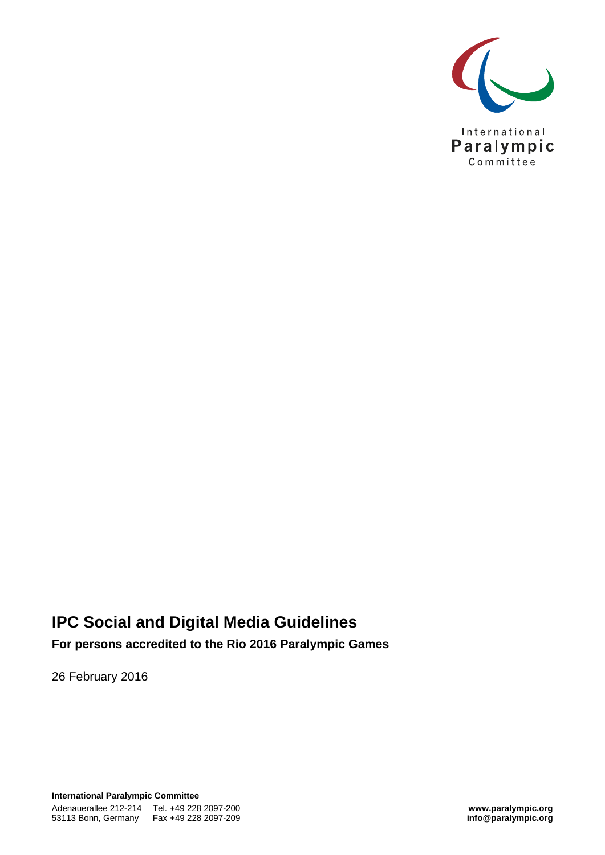

## **IPC Social and Digital Media Guidelines**

**For persons accredited to the Rio 2016 Paralympic Games** 

26 February 2016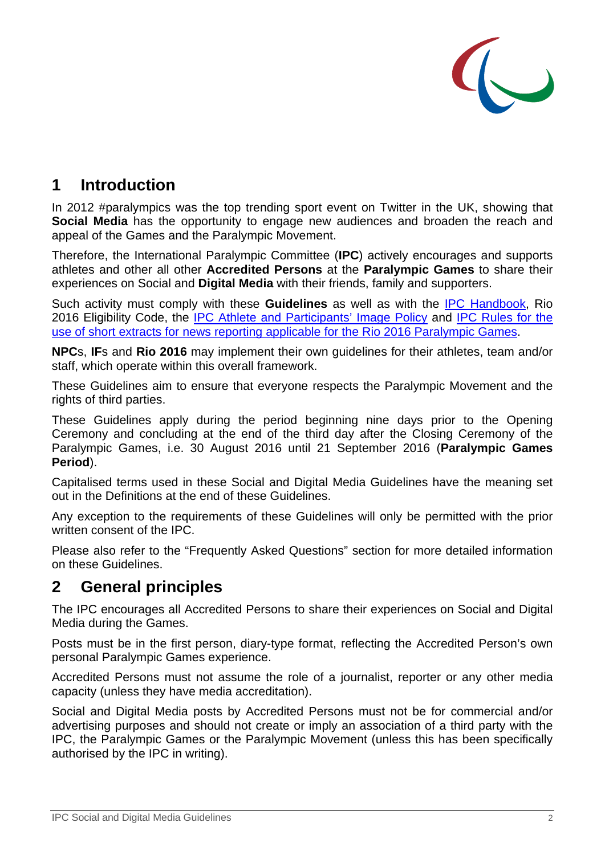

## **1 Introduction**

In 2012 #paralympics was the top trending sport event on Twitter in the UK, showing that **Social Media** has the opportunity to engage new audiences and broaden the reach and appeal of the Games and the Paralympic Movement.

Therefore, the International Paralympic Committee (**IPC**) actively encourages and supports athletes and other all other **Accredited Persons** at the **Paralympic Games** to share their experiences on Social and **Digital Media** with their friends, family and supporters.

Such activity must comply with these **Guidelines** as well as with the IPC Handbook, Rio 2016 Eligibility Code, the IPC Athlete and Participants' Image Policy and IPC Rules for the use of short extracts for news reporting applicable for the Rio 2016 Paralympic Games.

**NPC**s, **IF**s and **Rio 2016** may implement their own guidelines for their athletes, team and/or staff, which operate within this overall framework.

These Guidelines aim to ensure that everyone respects the Paralympic Movement and the rights of third parties.

These Guidelines apply during the period beginning nine days prior to the Opening Ceremony and concluding at the end of the third day after the Closing Ceremony of the Paralympic Games, i.e. 30 August 2016 until 21 September 2016 (**Paralympic Games Period**).

Capitalised terms used in these Social and Digital Media Guidelines have the meaning set out in the Definitions at the end of these Guidelines.

Any exception to the requirements of these Guidelines will only be permitted with the prior written consent of the IPC.

Please also refer to the "Frequently Asked Questions" section for more detailed information on these Guidelines.

#### **2 General principles**

The IPC encourages all Accredited Persons to share their experiences on Social and Digital Media during the Games.

Posts must be in the first person, diary-type format, reflecting the Accredited Person's own personal Paralympic Games experience.

Accredited Persons must not assume the role of a journalist, reporter or any other media capacity (unless they have media accreditation).

Social and Digital Media posts by Accredited Persons must not be for commercial and/or advertising purposes and should not create or imply an association of a third party with the IPC, the Paralympic Games or the Paralympic Movement (unless this has been specifically authorised by the IPC in writing).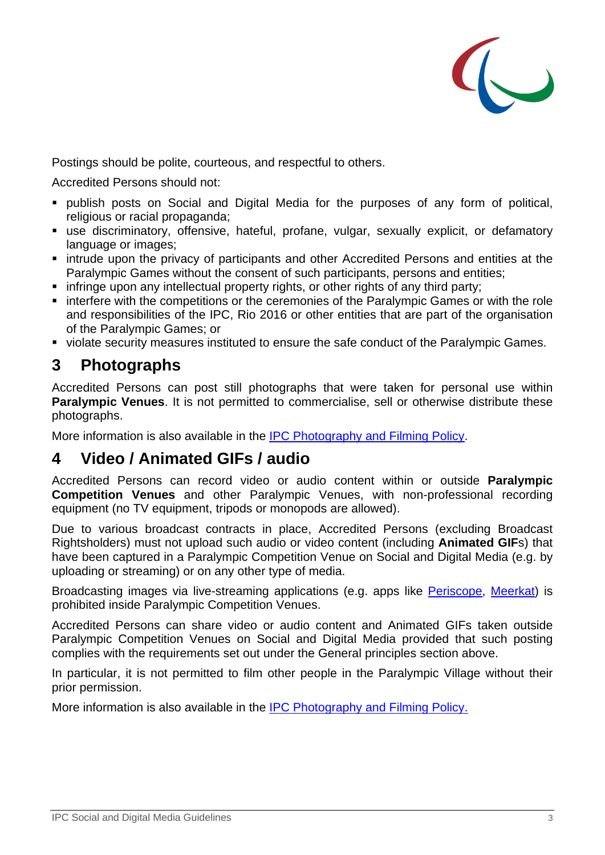

Postings should be polite, courteous, and respectful to others.

Accredited Persons should not:

- publish posts on Social and Digital Media for the purposes of any form of political, religious or racial propaganda;
- use discriminatory, offensive, hateful, profane, vulgar, sexually explicit, or defamatory language or images;
- intrude upon the privacy of participants and other Accredited Persons and entities at the Paralympic Games without the consent of such participants, persons and entities;
- **EXT** infringe upon any intellectual property rights, or other rights of any third party;
- **Example 1** interfere with the competitions or the ceremonies of the Paralympic Games or with the role and responsibilities of the IPC, Rio 2016 or other entities that are part of the organisation of the Paralympic Games; or
- violate security measures instituted to ensure the safe conduct of the Paralympic Games.

### **3 Photographs**

Accredited Persons can post still photographs that were taken for personal use within **Paralympic Venues**. It is not permitted to commercialise, sell or otherwise distribute these photographs.

More information is also available in the IPC Photography and Filming Policy.

#### **4 Video / Animated GIFs / audio**

Accredited Persons can record video or audio content within or outside **Paralympic Competition Venues** and other Paralympic Venues, with non-professional recording equipment (no TV equipment, tripods or monopods are allowed).

Due to various broadcast contracts in place, Accredited Persons (excluding Broadcast Rightsholders) must not upload such audio or video content (including **Animated GIF**s) that have been captured in a Paralympic Competition Venue on Social and Digital Media (e.g. by uploading or streaming) or on any other type of media.

Broadcasting images via live-streaming applications (e.g. apps like Periscope, Meerkat) is prohibited inside Paralympic Competition Venues.

Accredited Persons can share video or audio content and Animated GIFs taken outside Paralympic Competition Venues on Social and Digital Media provided that such posting complies with the requirements set out under the General principles section above.

In particular, it is not permitted to film other people in the Paralympic Village without their prior permission.

More information is also available in the IPC Photography and Filming Policy.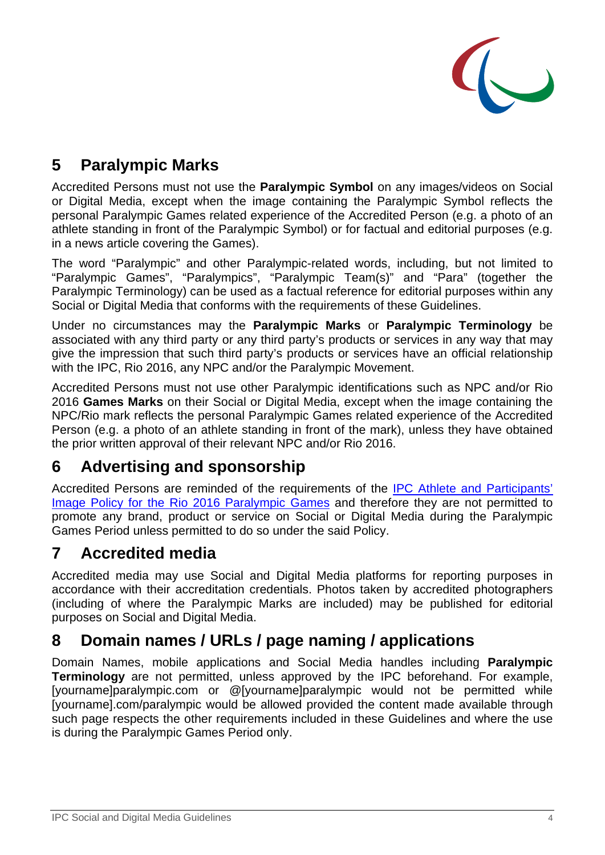

# **5 Paralympic Marks**

Accredited Persons must not use the **Paralympic Symbol** on any images/videos on Social or Digital Media, except when the image containing the Paralympic Symbol reflects the personal Paralympic Games related experience of the Accredited Person (e.g. a photo of an athlete standing in front of the Paralympic Symbol) or for factual and editorial purposes (e.g. in a news article covering the Games).

The word "Paralympic" and other Paralympic-related words, including, but not limited to "Paralympic Games", "Paralympics", "Paralympic Team(s)" and "Para" (together the Paralympic Terminology) can be used as a factual reference for editorial purposes within any Social or Digital Media that conforms with the requirements of these Guidelines.

Under no circumstances may the **Paralympic Marks** or **Paralympic Terminology** be associated with any third party or any third party's products or services in any way that may give the impression that such third party's products or services have an official relationship with the IPC, Rio 2016, any NPC and/or the Paralympic Movement.

Accredited Persons must not use other Paralympic identifications such as NPC and/or Rio 2016 **Games Marks** on their Social or Digital Media, except when the image containing the NPC/Rio mark reflects the personal Paralympic Games related experience of the Accredited Person (e.g. a photo of an athlete standing in front of the mark), unless they have obtained the prior written approval of their relevant NPC and/or Rio 2016.

## **6 Advertising and sponsorship**

Accredited Persons are reminded of the requirements of the IPC Athlete and Participants' Image Policy for the Rio 2016 Paralympic Games and therefore they are not permitted to promote any brand, product or service on Social or Digital Media during the Paralympic Games Period unless permitted to do so under the said Policy.

### **7 Accredited media**

Accredited media may use Social and Digital Media platforms for reporting purposes in accordance with their accreditation credentials. Photos taken by accredited photographers (including of where the Paralympic Marks are included) may be published for editorial purposes on Social and Digital Media.

## **8 Domain names / URLs / page naming / applications**

Domain Names, mobile applications and Social Media handles including **Paralympic Terminology** are not permitted, unless approved by the IPC beforehand. For example, [yourname]paralympic.com or @[yourname]paralympic would not be permitted while [yourname].com/paralympic would be allowed provided the content made available through such page respects the other requirements included in these Guidelines and where the use is during the Paralympic Games Period only.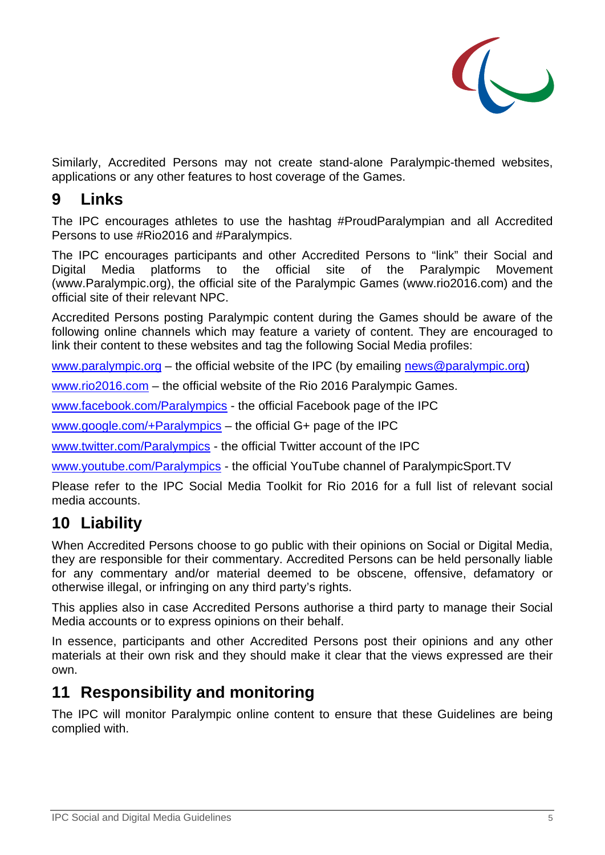

Similarly, Accredited Persons may not create stand-alone Paralympic-themed websites, applications or any other features to host coverage of the Games.

### **9 Links**

The IPC encourages athletes to use the hashtag #ProudParalympian and all Accredited Persons to use #Rio2016 and #Paralympics.

The IPC encourages participants and other Accredited Persons to "link" their Social and Digital Media platforms to the official site of the Paralympic Movement (www.Paralympic.org), the official site of the Paralympic Games (www.rio2016.com) and the official site of their relevant NPC.

Accredited Persons posting Paralympic content during the Games should be aware of the following online channels which may feature a variety of content. They are encouraged to link their content to these websites and tag the following Social Media profiles:

www.paralympic.org – the official website of the IPC (by emailing news@paralympic.org)

www.rio2016.com – the official website of the Rio 2016 Paralympic Games.

www.facebook.com/Paralympics - the official Facebook page of the IPC

www.google.com/+Paralympics – the official G+ page of the IPC

www.twitter.com/Paralympics - the official Twitter account of the IPC

www.youtube.com/Paralympics - the official YouTube channel of ParalympicSport.TV

Please refer to the IPC Social Media Toolkit for Rio 2016 for a full list of relevant social media accounts.

## **10 Liability**

When Accredited Persons choose to go public with their opinions on Social or Digital Media, they are responsible for their commentary. Accredited Persons can be held personally liable for any commentary and/or material deemed to be obscene, offensive, defamatory or otherwise illegal, or infringing on any third party's rights.

This applies also in case Accredited Persons authorise a third party to manage their Social Media accounts or to express opinions on their behalf.

In essence, participants and other Accredited Persons post their opinions and any other materials at their own risk and they should make it clear that the views expressed are their own.

#### **11 Responsibility and monitoring**

The IPC will monitor Paralympic online content to ensure that these Guidelines are being complied with.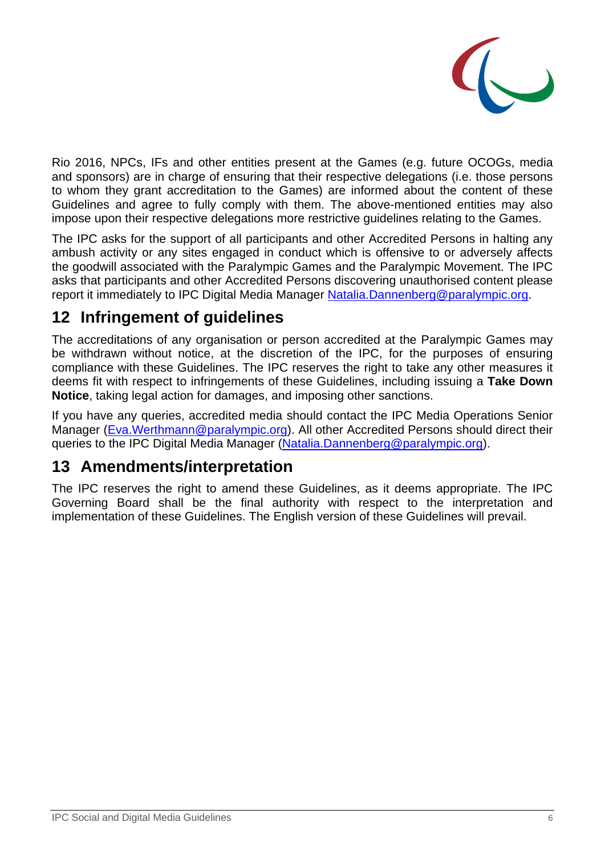

Rio 2016, NPCs, IFs and other entities present at the Games (e.g. future OCOGs, media and sponsors) are in charge of ensuring that their respective delegations (i.e. those persons to whom they grant accreditation to the Games) are informed about the content of these Guidelines and agree to fully comply with them. The above-mentioned entities may also impose upon their respective delegations more restrictive guidelines relating to the Games.

The IPC asks for the support of all participants and other Accredited Persons in halting any ambush activity or any sites engaged in conduct which is offensive to or adversely affects the goodwill associated with the Paralympic Games and the Paralympic Movement. The IPC asks that participants and other Accredited Persons discovering unauthorised content please report it immediately to IPC Digital Media Manager Natalia.Dannenberg@paralympic.org.

## **12 Infringement of guidelines**

The accreditations of any organisation or person accredited at the Paralympic Games may be withdrawn without notice, at the discretion of the IPC, for the purposes of ensuring compliance with these Guidelines. The IPC reserves the right to take any other measures it deems fit with respect to infringements of these Guidelines, including issuing a **Take Down Notice**, taking legal action for damages, and imposing other sanctions.

If you have any queries, accredited media should contact the IPC Media Operations Senior Manager (Eva. Werthmann@paralympic.org). All other Accredited Persons should direct their queries to the IPC Digital Media Manager (Natalia.Dannenberg@paralympic.org).

### **13 Amendments/interpretation**

The IPC reserves the right to amend these Guidelines, as it deems appropriate. The IPC Governing Board shall be the final authority with respect to the interpretation and implementation of these Guidelines. The English version of these Guidelines will prevail.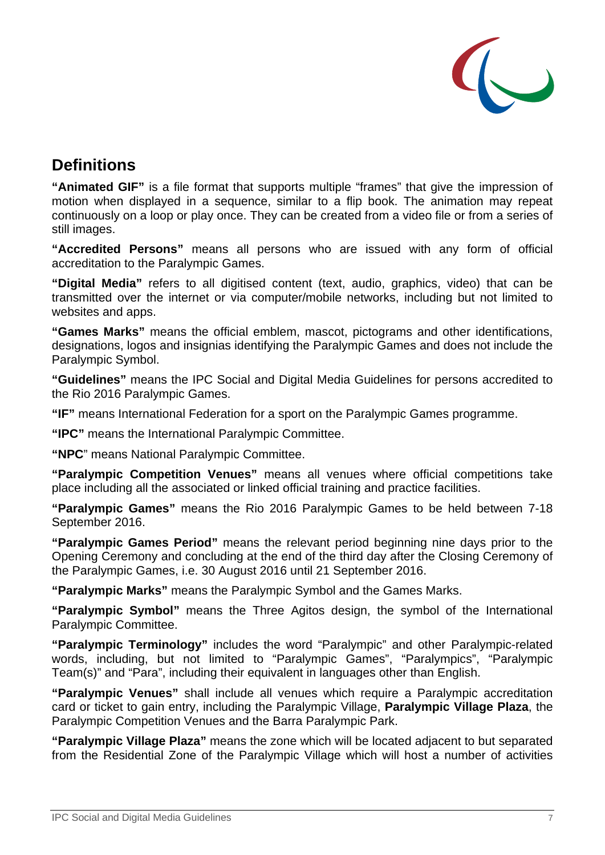

## **Definitions**

**"Animated GIF"** is a file format that supports multiple "frames" that give the impression of motion when displayed in a sequence, similar to a flip book. The animation may repeat continuously on a loop or play once. They can be created from a video file or from a series of still images.

**"Accredited Persons"** means all persons who are issued with any form of official accreditation to the Paralympic Games.

**"Digital Media"** refers to all digitised content (text, audio, graphics, video) that can be transmitted over the internet or via computer/mobile networks, including but not limited to websites and apps.

**"Games Marks"** means the official emblem, mascot, pictograms and other identifications, designations, logos and insignias identifying the Paralympic Games and does not include the Paralympic Symbol.

**"Guidelines"** means the IPC Social and Digital Media Guidelines for persons accredited to the Rio 2016 Paralympic Games.

**"IF"** means International Federation for a sport on the Paralympic Games programme.

**"IPC"** means the International Paralympic Committee.

**"NPC**" means National Paralympic Committee.

**"Paralympic Competition Venues"** means all venues where official competitions take place including all the associated or linked official training and practice facilities.

**"Paralympic Games"** means the Rio 2016 Paralympic Games to be held between 7-18 September 2016.

**"Paralympic Games Period"** means the relevant period beginning nine days prior to the Opening Ceremony and concluding at the end of the third day after the Closing Ceremony of the Paralympic Games, i.e. 30 August 2016 until 21 September 2016.

**"Paralympic Marks"** means the Paralympic Symbol and the Games Marks.

**"Paralympic Symbol"** means the Three Agitos design, the symbol of the International Paralympic Committee.

**"Paralympic Terminology"** includes the word "Paralympic" and other Paralympic-related words, including, but not limited to "Paralympic Games", "Paralympics", "Paralympic Team(s)" and "Para", including their equivalent in languages other than English.

**"Paralympic Venues"** shall include all venues which require a Paralympic accreditation card or ticket to gain entry, including the Paralympic Village, **Paralympic Village Plaza**, the Paralympic Competition Venues and the Barra Paralympic Park.

**"Paralympic Village Plaza"** means the zone which will be located adjacent to but separated from the Residential Zone of the Paralympic Village which will host a number of activities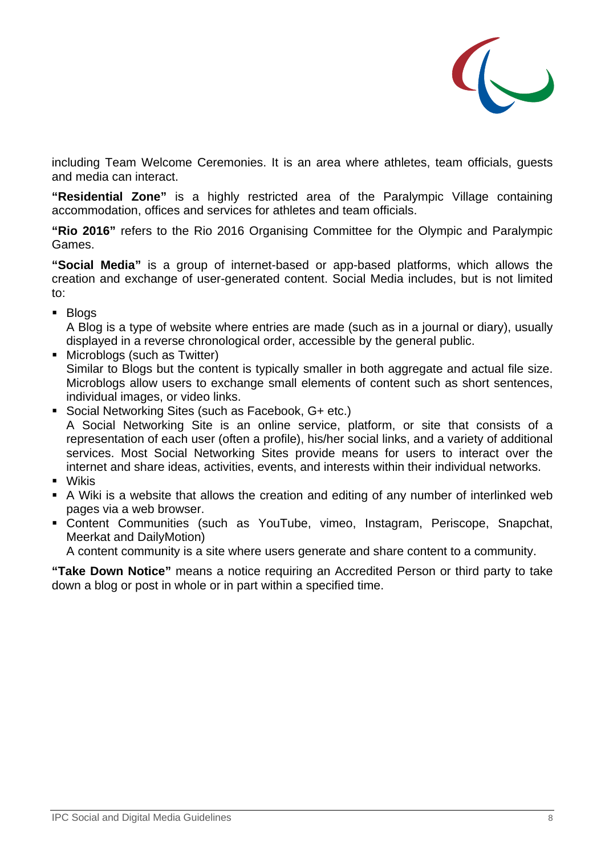

including Team Welcome Ceremonies. It is an area where athletes, team officials, guests and media can interact.

**"Residential Zone"** is a highly restricted area of the Paralympic Village containing accommodation, offices and services for athletes and team officials.

**"Rio 2016"** refers to the Rio 2016 Organising Committee for the Olympic and Paralympic Games.

**"Social Media"** is a group of internet-based or app-based platforms, which allows the creation and exchange of user-generated content. Social Media includes, but is not limited to:

**Blogs** 

A Blog is a type of website where entries are made (such as in a journal or diary), usually displayed in a reverse chronological order, accessible by the general public.

- **Microblogs (such as Twitter)** Similar to Blogs but the content is typically smaller in both aggregate and actual file size. Microblogs allow users to exchange small elements of content such as short sentences, individual images, or video links.
- Social Networking Sites (such as Facebook, G+ etc.) A Social Networking Site is an online service, platform, or site that consists of a representation of each user (often a profile), his/her social links, and a variety of additional services. Most Social Networking Sites provide means for users to interact over the internet and share ideas, activities, events, and interests within their individual networks.
- Wikis
- A Wiki is a website that allows the creation and editing of any number of interlinked web pages via a web browser.
- Content Communities (such as YouTube, vimeo, Instagram, Periscope, Snapchat, Meerkat and DailyMotion)

A content community is a site where users generate and share content to a community.

**"Take Down Notice"** means a notice requiring an Accredited Person or third party to take down a blog or post in whole or in part within a specified time.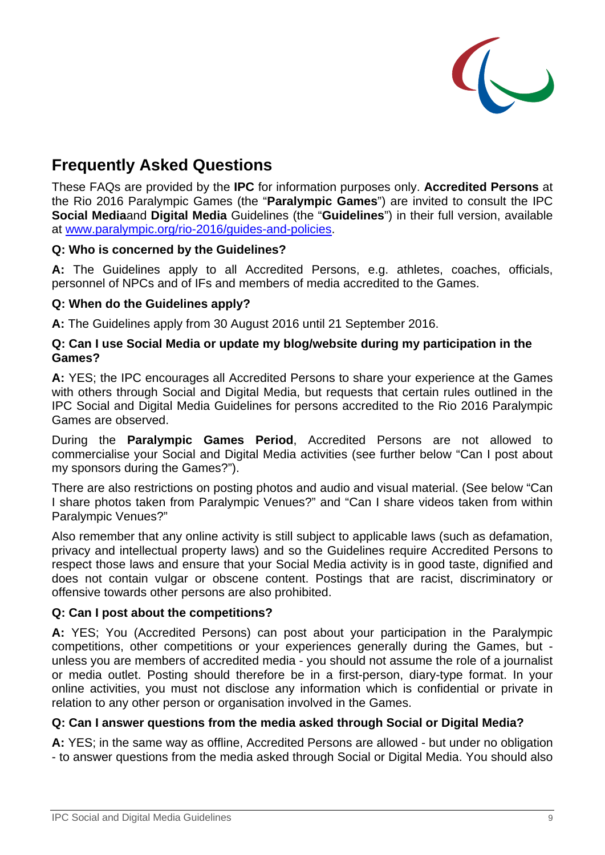

## **Frequently Asked Questions**

These FAQs are provided by the **IPC** for information purposes only. **Accredited Persons** at the Rio 2016 Paralympic Games (the "**Paralympic Games**") are invited to consult the IPC **Social Media**and **Digital Media** Guidelines (the "**Guidelines**") in their full version, available at www.paralympic.org/rio-2016/guides-and-policies.

#### **Q: Who is concerned by the Guidelines?**

**A:** The Guidelines apply to all Accredited Persons, e.g. athletes, coaches, officials, personnel of NPCs and of IFs and members of media accredited to the Games.

#### **Q: When do the Guidelines apply?**

**A:** The Guidelines apply from 30 August 2016 until 21 September 2016.

#### **Q: Can I use Social Media or update my blog/website during my participation in the Games?**

**A:** YES; the IPC encourages all Accredited Persons to share your experience at the Games with others through Social and Digital Media, but requests that certain rules outlined in the IPC Social and Digital Media Guidelines for persons accredited to the Rio 2016 Paralympic Games are observed.

During the **Paralympic Games Period**, Accredited Persons are not allowed to commercialise your Social and Digital Media activities (see further below "Can I post about my sponsors during the Games?").

There are also restrictions on posting photos and audio and visual material. (See below "Can I share photos taken from Paralympic Venues?" and "Can I share videos taken from within Paralympic Venues?"

Also remember that any online activity is still subject to applicable laws (such as defamation, privacy and intellectual property laws) and so the Guidelines require Accredited Persons to respect those laws and ensure that your Social Media activity is in good taste, dignified and does not contain vulgar or obscene content. Postings that are racist, discriminatory or offensive towards other persons are also prohibited.

#### **Q: Can I post about the competitions?**

**A:** YES; You (Accredited Persons) can post about your participation in the Paralympic competitions, other competitions or your experiences generally during the Games, but unless you are members of accredited media - you should not assume the role of a journalist or media outlet. Posting should therefore be in a first-person, diary-type format. In your online activities, you must not disclose any information which is confidential or private in relation to any other person or organisation involved in the Games.

#### **Q: Can I answer questions from the media asked through Social or Digital Media?**

**A:** YES; in the same way as offline, Accredited Persons are allowed - but under no obligation - to answer questions from the media asked through Social or Digital Media. You should also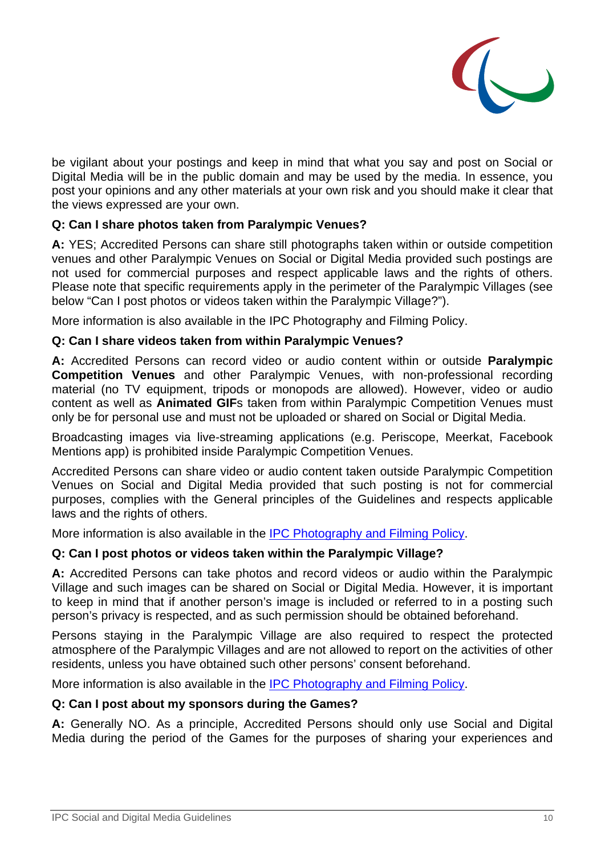

be vigilant about your postings and keep in mind that what you say and post on Social or Digital Media will be in the public domain and may be used by the media. In essence, you post your opinions and any other materials at your own risk and you should make it clear that the views expressed are your own.

#### **Q: Can I share photos taken from Paralympic Venues?**

**A:** YES; Accredited Persons can share still photographs taken within or outside competition venues and other Paralympic Venues on Social or Digital Media provided such postings are not used for commercial purposes and respect applicable laws and the rights of others. Please note that specific requirements apply in the perimeter of the Paralympic Villages (see below "Can I post photos or videos taken within the Paralympic Village?").

More information is also available in the IPC Photography and Filming Policy.

#### **Q: Can I share videos taken from within Paralympic Venues?**

**A:** Accredited Persons can record video or audio content within or outside **Paralympic Competition Venues** and other Paralympic Venues, with non-professional recording material (no TV equipment, tripods or monopods are allowed). However, video or audio content as well as **Animated GIF**s taken from within Paralympic Competition Venues must only be for personal use and must not be uploaded or shared on Social or Digital Media.

Broadcasting images via live-streaming applications (e.g. Periscope, Meerkat, Facebook Mentions app) is prohibited inside Paralympic Competition Venues.

Accredited Persons can share video or audio content taken outside Paralympic Competition Venues on Social and Digital Media provided that such posting is not for commercial purposes, complies with the General principles of the Guidelines and respects applicable laws and the rights of others.

More information is also available in the IPC Photography and Filming Policy.

#### **Q: Can I post photos or videos taken within the Paralympic Village?**

**A:** Accredited Persons can take photos and record videos or audio within the Paralympic Village and such images can be shared on Social or Digital Media. However, it is important to keep in mind that if another person's image is included or referred to in a posting such person's privacy is respected, and as such permission should be obtained beforehand.

Persons staying in the Paralympic Village are also required to respect the protected atmosphere of the Paralympic Villages and are not allowed to report on the activities of other residents, unless you have obtained such other persons' consent beforehand.

More information is also available in the IPC Photography and Filming Policy.

#### **Q: Can I post about my sponsors during the Games?**

**A:** Generally NO. As a principle, Accredited Persons should only use Social and Digital Media during the period of the Games for the purposes of sharing your experiences and